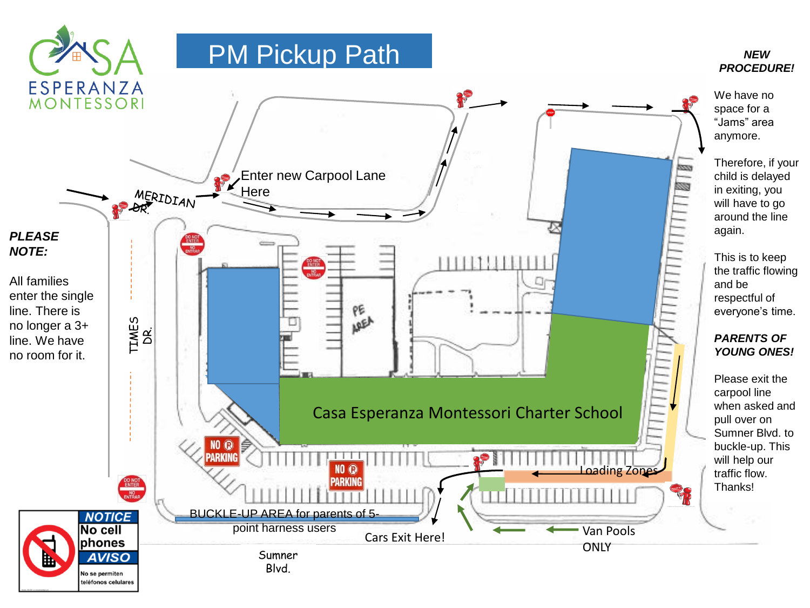